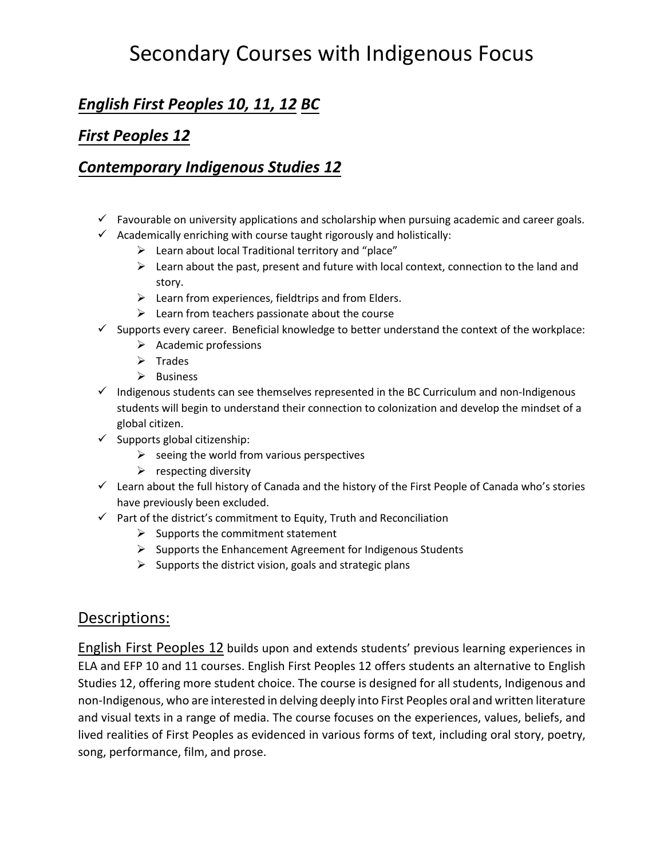# Secondary Courses with Indigenous Focus

### *English First Peoples 10, 11, 12 BC*

### *First Peoples 12*

#### *Contemporary Indigenous Studies 12*

- $\checkmark$  Favourable on university applications and scholarship when pursuing academic and career goals.
- $\checkmark$  Academically enriching with course taught rigorously and holistically:
	- $\triangleright$  Learn about local Traditional territory and "place"
	- $\triangleright$  Learn about the past, present and future with local context, connection to the land and story.
	- $\triangleright$  Learn from experiences, fieldtrips and from Elders.
	- $\triangleright$  Learn from teachers passionate about the course
- $\checkmark$  Supports every career. Beneficial knowledge to better understand the context of the workplace:
	- $\triangleright$  Academic professions
	- $\triangleright$  Trades
	- $\triangleright$  Business
- $\checkmark$  Indigenous students can see themselves represented in the BC Curriculum and non-Indigenous students will begin to understand their connection to colonization and develop the mindset of a global citizen.
- $\checkmark$  Supports global citizenship:
	- $\triangleright$  seeing the world from various perspectives
	- $\triangleright$  respecting diversity
- $\checkmark$  Learn about the full history of Canada and the history of the First People of Canada who's stories have previously been excluded.
- $\checkmark$  Part of the district's commitment to Equity, Truth and Reconciliation
	- $\triangleright$  Supports the commitment statement
	- $\triangleright$  Supports the Enhancement Agreement for Indigenous Students
	- $\triangleright$  Supports the district vision, goals and strategic plans

#### Descriptions:

English First Peoples 12 builds upon and extends students' previous learning experiences in ELA and EFP 10 and 11 courses. English First Peoples 12 offers students an alternative to English Studies 12, offering more student choice. The course is designed for all students, Indigenous and non-Indigenous, who are interested in delving deeply into First Peoples oral and written literature and visual texts in a range of media. The course focuses on the experiences, values, beliefs, and lived realities of First Peoples as evidenced in various forms of text, including oral story, poetry, song, performance, film, and prose.